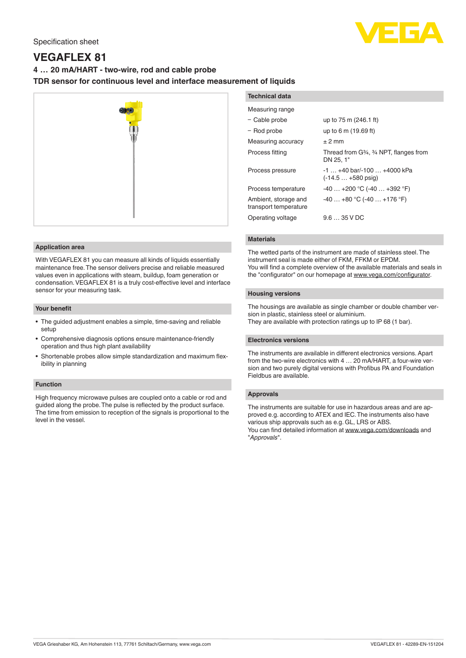

# **VEGAFLEX 81**

# **4 … 20 mA/HART - two-wire, rod and cable probe**

**TDR sensor for continuous level and interface measurement of liquids**



## **Application area**

With VEGAFLEX 81 you can measure all kinds of liquids essentially maintenance free. The sensor delivers precise and reliable measured values even in applications with steam, buildup, foam generation or condensation. VEGAFLEX 81 is a truly cost-effective level and interface sensor for your measuring task.

#### **Your benefit**

- The guided adjustment enables a simple, time-saving and reliable setup
- Comprehensive diagnosis options ensure maintenance-friendly operation and thus high plant availability
- Shortenable probes allow simple standardization and maximum flexibility in planning

## **Function**

High frequency microwave pulses are coupled onto a cable or rod and guided along the probe. The pulse is reflected by the product surface. The time from emission to reception of the signals is proportional to the level in the vessel.

| <b>Technical data</b>                         |                                                                                                      |
|-----------------------------------------------|------------------------------------------------------------------------------------------------------|
| Measuring range                               |                                                                                                      |
| - Cable probe                                 | up to 75 m (246.1 ft)                                                                                |
| - Rod probe                                   | up to 6 m (19.69 ft)                                                                                 |
| Measuring accuracy                            | $±$ 2 mm                                                                                             |
| Process fitting                               | Thread from G <sub>3</sub> <sup>4</sup> , <sup>3</sup> / <sub>4</sub> NPT, flanges from<br>DN 25, 1" |
| Process pressure                              | -1  +40 bar/-100  +4000 kPa<br>$(-14.5 + 580$ psig)                                                  |
| Process temperature                           | $-40+200$ °C $(-40+392$ °F)                                                                          |
| Ambient, storage and<br>transport temperature | $-40+80$ °C (-40  +176 °F)                                                                           |
| Operating voltage                             | $9.635$ V DC                                                                                         |

## **Materials**

The wetted parts of the instrument are made of stainless steel. The instrument seal is made either of FKM, FFKM or EPDM. You will find a complete overview of the available materials and seals in the "configurator" on our homepage at [www.vega.com/configurator](http://www.vega.com/configurator).

## **Housing versions**

The housings are available as single chamber or double chamber version in plastic, stainless steel or aluminium. They are available with protection ratings up to IP 68 (1 bar).

## **Electronics versions**

The instruments are available in different electronics versions. Apart from the two-wire electronics with 4 … 20 mA/HART, a four-wire version and two purely digital versions with Profibus PA and Foundation Fieldbus are available.

#### **Approvals**

The instruments are suitable for use in hazardous areas and are approved e.g. according to ATEX and IEC. The instruments also have various ship approvals such as e.g. GL, LRS or ABS. You can find detailed information at [www.vega.com/downloads](http://www.vega.com/downloads) and "*Approvals*".